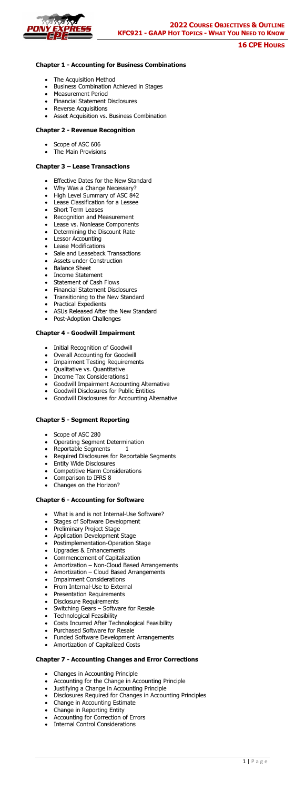## **Chapter 1 - Accounting for Business Combinations**

- The Acquisition Method
- Business Combination Achieved in Stages
- Measurement Period
- Financial Statement Disclosures
- Reverse Acquisitions
- Asset Acquisition vs. Business Combination

- Scope of ASC 606
- The Main Provisions

## **Chapter 2 - Revenue Recognition**

#### **Chapter 3 – Lease Transactions**

- Effective Dates for the New Standard
- Why Was a Change Necessary?
- High Level Summary of ASC 842
- Lease Classification for a Lessee
- Short Term Leases
- Recognition and Measurement
- Lease vs. Nonlease Components
- Determining the Discount Rate
- Lessor Accounting
- Lease Modifications
- Sale and Leaseback Transactions
- Assets under Construction
- Balance Sheet
- Income Statement
- Statement of Cash Flows
- Financial Statement Disclosures
- Transitioning to the New Standard
- Practical Expedients
- ASUs Released After the New Standard
- Post-Adoption Challenges

## **Chapter 4 - Goodwill Impairment**

- Initial Recognition of Goodwill
- Overall Accounting for Goodwill
- Impairment Testing Requirements
- Qualitative vs. Quantitative
- Income Tax Considerations1
- Goodwill Impairment Accounting Alternative
- Goodwill Disclosures for Public Entities
- Goodwill Disclosures for Accounting Alternative

# **Chapter 5 - Segment Reporting**

- Scope of ASC 280
- Operating Segment Determination
- 
- Reportable Segments 1
- Required Disclosures for Reportable Segments
- Entity Wide Disclosures
- Competitive Harm Considerations
- Comparison to IFRS 8
- Changes on the Horizon?

### **Chapter 6 - Accounting for Software**

- What is and is not Internal-Use Software?
- Stages of Software Development
- Preliminary Project Stage
- Application Development Stage
- Postimplementation-Operation Stage
- Upgrades & Enhancements
- Commencement of Capitalization
- Amortization Non-Cloud Based Arrangements
- Amortization Cloud Based Arrangements
- Impairment Considerations
- From Internal-Use to External
- Presentation Requirements
- Disclosure Requirements
- Switching Gears Software for Resale
- Technological Feasibility
- Costs Incurred After Technological Feasibility
- Purchased Software for Resale
- Funded Software Development Arrangements
- Amortization of Capitalized Costs

### **Chapter 7 - Accounting Changes and Error Corrections**

- Changes in Accounting Principle
- Accounting for the Change in Accounting Principle
- Justifying a Change in Accounting Principle
- Disclosures Required for Changes in Accounting Principles
- Change in Accounting Estimate
- Change in Reporting Entity
- Accounting for Correction of Errors
- Internal Control Considerations



# **16 CPE HOURS**